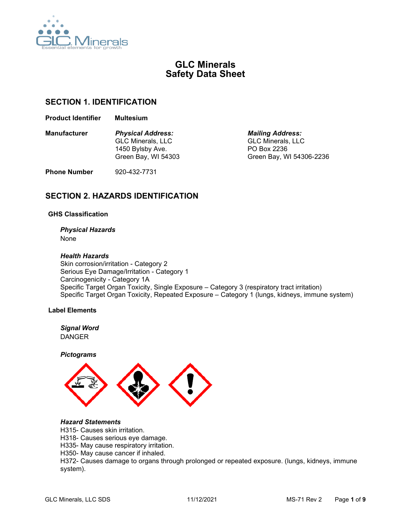

# **GLC Minerals Safety Data Sheet**

## **SECTION 1. IDENTIFICATION**

**Product Identifier Multesium**

| <b>Manufacturer</b> | <b>Physical Address:</b> | <b>Mailing Address:</b>  |
|---------------------|--------------------------|--------------------------|
|                     | <b>GLC Minerals, LLC</b> | <b>GLC Minerals, LLC</b> |
|                     | 1450 Bylsby Ave.         | PO Box 2236              |
|                     | Green Bay, WI 54303      | Green Bay, WI 54306-2236 |
|                     |                          |                          |

**Phone Number** 920-432-7731

# **SECTION 2. HAZARDS IDENTIFICATION**

## **GHS Classification**

## *Physical Hazards*

None

## *Health Hazards*

Skin corrosion/irritation - Category 2 Serious Eye Damage/Irritation - Category 1 Carcinogenicity - Category 1A Specific Target Organ Toxicity, Single Exposure – Category 3 (respiratory tract irritation) Specific Target Organ Toxicity, Repeated Exposure – Category 1 (lungs, kidneys, immune system)

## **Label Elements**

### *Signal Word* DANGER

*Pictograms*



## *Hazard Statements*

- H315- Causes skin irritation.
- H318- Causes serious eye damage.
- H335- May cause respiratory irritation.
- H350- May cause cancer if inhaled.

H372- Causes damage to organs through prolonged or repeated exposure. (lungs, kidneys, immune system).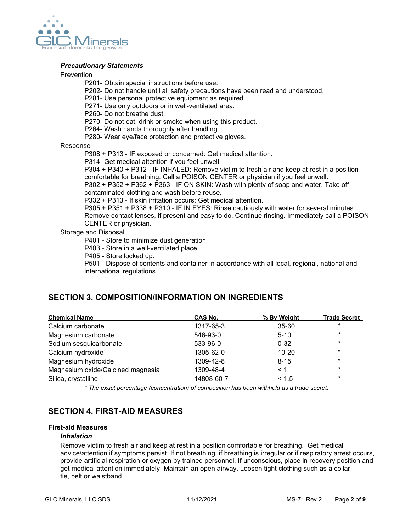

## *Precautionary Statements*

### Prevention

P201- Obtain special instructions before use.

- P202- Do not handle until all safety precautions have been read and understood.
- P281- Use personal protective equipment as required.
- P271- Use only outdoors or in well-ventilated area.
- P260- Do not breathe dust.
- P270- Do not eat, drink or smoke when using this product.
- P264- Wash hands thoroughly after handling.
- P280- Wear eye/face protection and protective gloves.

#### Response

P308 + P313 - IF exposed or concerned: Get medical attention.

P314- Get medical attention if you feel unwell.

P304 + P340 + P312 - IF INHALED: Remove victim to fresh air and keep at rest in a position comfortable for breathing. Call a POISON CENTER or physician if you feel unwell.

P302 + P352 + P362 + P363 - IF ON SKIN: Wash with plenty of soap and water. Take off contaminated clothing and wash before reuse.

P332 + P313 - If skin irritation occurs: Get medical attention.

P305 + P351 + P338 + P310 - IF IN EYES: Rinse cautiously with water for several minutes. Remove contact lenses, if present and easy to do. Continue rinsing. Immediately call a POISON CENTER or physician.

### Storage and Disposal

P401 - Store to minimize dust generation.

P403 - Store in a well-ventilated place

P405 - Store locked up.

P501 - Dispose of contents and container in accordance with all local, regional, national and international regulations.

# **SECTION 3. COMPOSITION/INFORMATION ON INGREDIENTS**

| <b>Chemical Name</b>              | CAS No.    | % By Weight | <b>Trade Secret</b> |
|-----------------------------------|------------|-------------|---------------------|
| Calcium carbonate                 | 1317-65-3  | 35-60       | $\star$             |
| Magnesium carbonate               | 546-93-0   | $5 - 10$    | $\star$             |
| Sodium sesquicarbonate            | 533-96-0   | $0 - 32$    | $\star$             |
| Calcium hydroxide                 | 1305-62-0  | $10 - 20$   | $\ast$              |
| Magnesium hydroxide               | 1309-42-8  | $8 - 15$    | $\ast$              |
| Magnesium oxide/Calcined magnesia | 1309-48-4  | < 1         | $\star$             |
| Silica, crystalline               | 14808-60-7 | < 1.5       | $\star$             |

*\* The exact percentage (concentration) of composition has been withheld as a trade secret.*

# **SECTION 4. FIRST-AID MEASURES**

#### **First-aid Measures**

### *Inhalation*

Remove victim to fresh air and keep at rest in a position comfortable for breathing. Get medical advice/attention if symptoms persist. If not breathing, if breathing is irregular or if respiratory arrest occurs, provide artificial respiration or oxygen by trained personnel. If unconscious, place in recovery position and get medical attention immediately. Maintain an open airway. Loosen tight clothing such as a collar, tie, belt or waistband.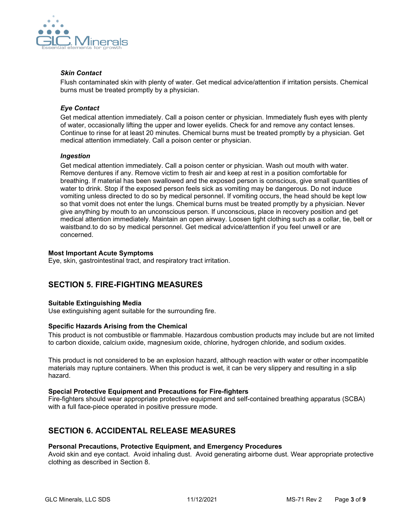

## *Skin Contact*

Flush contaminated skin with plenty of water. Get medical advice/attention if irritation persists. Chemical burns must be treated promptly by a physician.

## *Eye Contact*

Get medical attention immediately. Call a poison center or physician. Immediately flush eyes with plenty of water, occasionally lifting the upper and lower eyelids. Check for and remove any contact lenses. Continue to rinse for at least 20 minutes. Chemical burns must be treated promptly by a physician. Get medical attention immediately. Call a poison center or physician.

## *Ingestion*

Get medical attention immediately. Call a poison center or physician. Wash out mouth with water. Remove dentures if any. Remove victim to fresh air and keep at rest in a position comfortable for breathing. If material has been swallowed and the exposed person is conscious, give small quantities of water to drink. Stop if the exposed person feels sick as vomiting may be dangerous. Do not induce vomiting unless directed to do so by medical personnel. If vomiting occurs, the head should be kept low so that vomit does not enter the lungs. Chemical burns must be treated promptly by a physician. Never give anything by mouth to an unconscious person. If unconscious, place in recovery position and get medical attention immediately. Maintain an open airway. Loosen tight clothing such as a collar, tie, belt or waistband.to do so by medical personnel. Get medical advice/attention if you feel unwell or are concerned.

## **Most Important Acute Symptoms**

Eye, skin, gastrointestinal tract, and respiratory tract irritation.

# **SECTION 5. FIRE-FIGHTING MEASURES**

## **Suitable Extinguishing Media**

Use extinguishing agent suitable for the surrounding fire.

## **Specific Hazards Arising from the Chemical**

This product is not combustible or flammable. Hazardous combustion products may include but are not limited to carbon dioxide, calcium oxide, magnesium oxide, chlorine, hydrogen chloride, and sodium oxides.

This product is not considered to be an explosion hazard, although reaction with water or other incompatible materials may rupture containers. When this product is wet, it can be very slippery and resulting in a slip hazard.

## **Special Protective Equipment and Precautions for Fire-fighters**

Fire-fighters should wear appropriate protective equipment and self-contained breathing apparatus (SCBA) with a full face-piece operated in positive pressure mode.

# **SECTION 6. ACCIDENTAL RELEASE MEASURES**

## **Personal Precautions, Protective Equipment, and Emergency Procedures**

Avoid skin and eye contact. Avoid inhaling dust. Avoid generating airborne dust. Wear appropriate protective clothing as described in Section 8.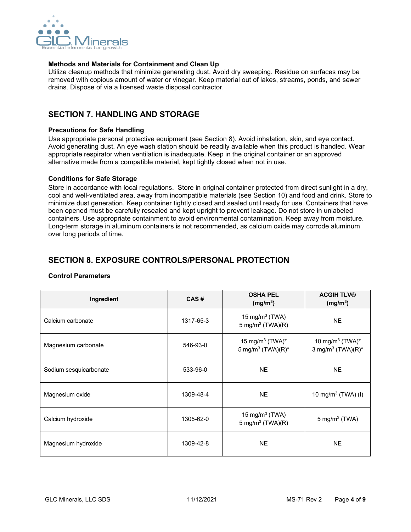

## **Methods and Materials for Containment and Clean Up**

Utilize cleanup methods that minimize generating dust. Avoid dry sweeping. Residue on surfaces may be removed with copious amount of water or vinegar. Keep material out of lakes, streams, ponds, and sewer drains. Dispose of via a licensed waste disposal contractor.

## **SECTION 7. HANDLING AND STORAGE**

## **Precautions for Safe Handling**

Use appropriate personal protective equipment (see Section 8). Avoid inhalation, skin, and eye contact. Avoid generating dust. An eye wash station should be readily available when this product is handled. Wear appropriate respirator when ventilation is inadequate. Keep in the original container or an approved alternative made from a compatible material, kept tightly closed when not in use.

#### **Conditions for Safe Storage**

Store in accordance with local regulations. Store in original container protected from direct sunlight in a dry, cool and well-ventilated area, away from incompatible materials (see Section 10) and food and drink. Store to minimize dust generation. Keep container tightly closed and sealed until ready for use. Containers that have been opened must be carefully resealed and kept upright to prevent leakage. Do not store in unlabeled containers. Use appropriate containment to avoid environmental contamination. Keep away from moisture. Long-term storage in aluminum containers is not recommended, as calcium oxide may corrode aluminum over long periods of time.

# **SECTION 8. EXPOSURE CONTROLS/PERSONAL PROTECTION**

| Ingredient             | CAS#      | <b>OSHA PEL</b><br>(mg/m <sup>3</sup> )                      | <b>ACGIH TLV®</b><br>(mg/m <sup>3</sup> )                    |
|------------------------|-----------|--------------------------------------------------------------|--------------------------------------------------------------|
| Calcium carbonate      | 1317-65-3 | 15 mg/m $3$ (TWA)<br>5 mg/m <sup>3</sup> (TWA)(R)            | <b>NE</b>                                                    |
| Magnesium carbonate    | 546-93-0  | 15 mg/m <sup>3</sup> (TWA)*<br>5 mg/m <sup>3</sup> (TWA)(R)* | 10 mg/m <sup>3</sup> (TWA)*<br>3 mg/m <sup>3</sup> (TWA)(R)* |
| Sodium sesquicarbonate | 533-96-0  | <b>NE</b>                                                    | <b>NE</b>                                                    |
| Magnesium oxide        | 1309-48-4 | <b>NE</b>                                                    | 10 mg/m <sup>3</sup> (TWA) (I)                               |
| Calcium hydroxide      | 1305-62-0 | 15 mg/m $3$ (TWA)<br>5 mg/m <sup>3</sup> (TWA)(R)            | 5 mg/m <sup>3</sup> (TWA)                                    |
| Magnesium hydroxide    | 1309-42-8 | <b>NE</b>                                                    | <b>NE</b>                                                    |

## **Control Parameters**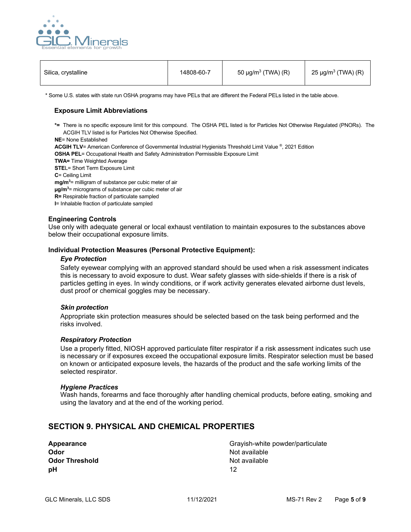

| Silica, crystalline | 14808-60-7 | 50 $\mu$ g/m <sup>3</sup> (TWA) (R) | 25 μg/m <sup>3</sup> (TWA) (R) |
|---------------------|------------|-------------------------------------|--------------------------------|
|                     |            |                                     |                                |

\* Some U.S. states with state run OSHA programs may have PELs that are different the Federal PELs listed in the table above.

### **Exposure Limit Abbreviations**

**\*=** There is no specific exposure limit for this compound. The OSHA PEL listed is for Particles Not Otherwise Regulated (PNORs). The ACGIH TLV listed is for Particles Not Otherwise Specified.

**NE**= None Established

**ACGIH TLV**= American Conference of Governmental Industrial Hygienists Threshold Limit Value ®, 2021 Edition

**OSHA PEL**= Occupational Health and Safety Administration Permissible Exposure Limit

**TWA=** Time Weighted Average

**STE**L= Short Term Exposure Limit

**C**= Ceiling Limit

**mg/m3** = milligram of substance per cubic meter of air

**µg/m3** = micrograms of substance per cubic meter of air

**R=** Respirable fraction of particulate sampled

**I**= Inhalable fraction of particulate sampled

#### **Engineering Controls**

Use only with adequate general or local exhaust ventilation to maintain exposures to the substances above below their occupational exposure limits.

#### **Individual Protection Measures (Personal Protective Equipment):**

#### *Eye Protection*

Safety eyewear complying with an approved standard should be used when a risk assessment indicates this is necessary to avoid exposure to dust. Wear safety glasses with side-shields if there is a risk of particles getting in eyes. In windy conditions, or if work activity generates elevated airborne dust levels, dust proof or chemical goggles may be necessary.

#### *Skin protection*

Appropriate skin protection measures should be selected based on the task being performed and the risks involved.

#### *Respiratory Protection*

Use a properly fitted, NIOSH approved particulate filter respirator if a risk assessment indicates such use is necessary or if exposures exceed the occupational exposure limits. Respirator selection must be based on known or anticipated exposure levels, the hazards of the product and the safe working limits of the selected respirator.

#### *Hygiene Practices*

Wash hands, forearms and face thoroughly after handling chemical products, before eating, smoking and using the lavatory and at the end of the working period.

## **SECTION 9. PHYSICAL AND CHEMICAL PROPERTIES**

| Appearance            | Gr |
|-----------------------|----|
| Odor                  | Nc |
| <b>Odor Threshold</b> | Nc |
| pН                    | 12 |

**Appearance** Grayish-white powder/particulate **Not available Not available**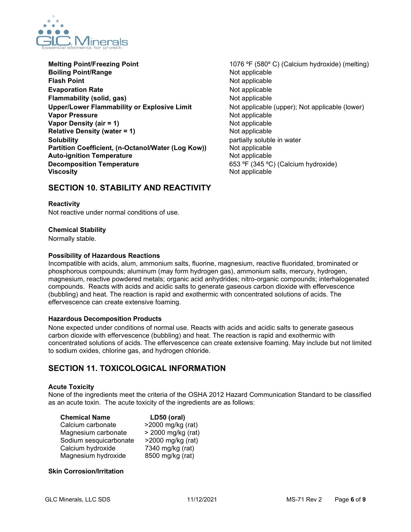

- **Melting Point/Freezing Point** 1076 °F (580° C) (Calcium hydroxide) (melting) **Boiling Point/Range** Not applicable **Flash Point** Not applicable **Evaporation Rate** Not applicable **Flammability (solid, gas)** Not applicable **Upper/Lower Flammability or Explosive Limit** Not applicable (upper); Not applicable (lower) **Vapor Pressure** Not applicable **Vapor Density (air = 1)** Not applicable<br> **Relative Density (water = 1)** Not applicable **Relative Density (water = 1) Solubility**<br> **Partition Coefficient, (n-Octanol/Water (Log Kow))** Plot applicable<br>
Not applicable **Partition Coefficient, (n-Octanol/Water (Log Kow))** Not applicable<br> **Auto-ignition Temperature** Mot applicable **Auto-ignition Temperature Decomposition Temperature 1988 CONSIDER (345 °C)** (Calcium hydroxide) **Viscosity** Not applicable
	-

## **SECTION 10. STABILITY AND REACTIVITY**

## **Reactivity**

Not reactive under normal conditions of use.

## **Chemical Stability**

Normally stable.

## **Possibility of Hazardous Reactions**

Incompatible with acids, alum, ammonium salts, fluorine, magnesium, reactive fluoridated, brominated or phosphorous compounds; aluminum (may form hydrogen gas), ammonium salts, mercury, hydrogen, magnesium, reactive powdered metals; organic acid anhydrides; nitro-organic compounds; interhalogenated compounds. Reacts with acids and acidic salts to generate gaseous carbon dioxide with effervescence (bubbling) and heat. The reaction is rapid and exothermic with concentrated solutions of acids. The effervescence can create extensive foaming.

## **Hazardous Decomposition Products**

None expected under conditions of normal use. Reacts with acids and acidic salts to generate gaseous carbon dioxide with effervescence (bubbling) and heat. The reaction is rapid and exothermic with concentrated solutions of acids. The effervescence can create extensive foaming. May include but not limited to sodium oxides, chlorine gas, and hydrogen chloride.

## **SECTION 11. TOXICOLOGICAL INFORMATION**

## **Acute Toxicity**

None of the ingredients meet the criteria of the OSHA 2012 Hazard Communication Standard to be classified as an acute toxin. The acute toxicity of the ingredients are as follows:

| <b>Chemical Name</b>   | LD50 (oral)        |
|------------------------|--------------------|
| Calcium carbonate      | >2000 mg/kg (rat)  |
| Magnesium carbonate    | > 2000 mg/kg (rat) |
| Sodium sesquicarbonate | >2000 mg/kg (rat)  |
| Calcium hydroxide      | 7340 mg/kg (rat)   |
| Magnesium hydroxide    | 8500 mg/kg (rat)   |

## **Skin Corrosion/Irritation**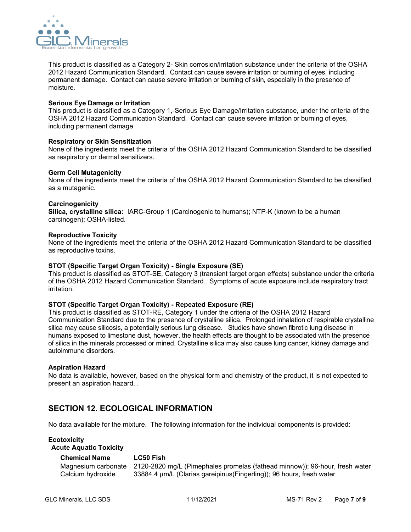

This product is classified as a Category 2- Skin corrosion/irritation substance under the criteria of the OSHA 2012 Hazard Communication Standard. Contact can cause severe irritation or burning of eyes, including permanent damage. Contact can cause severe irritation or burning of skin, especially in the presence of moisture.

#### **Serious Eye Damage or Irritation**

This product is classified as a Category 1,-Serious Eye Damage/Irritation substance, under the criteria of the OSHA 2012 Hazard Communication Standard. Contact can cause severe irritation or burning of eyes, including permanent damage.

### **Respiratory or Skin Sensitization**

None of the ingredients meet the criteria of the OSHA 2012 Hazard Communication Standard to be classified as respiratory or dermal sensitizers.

### **Germ Cell Mutagenicity**

None of the ingredients meet the criteria of the OSHA 2012 Hazard Communication Standard to be classified as a mutagenic.

#### **Carcinogenicity**

**Silica, crystalline silica:** IARC-Group 1 (Carcinogenic to humans); NTP-K (known to be a human carcinogen); OSHA-listed.

#### **Reproductive Toxicity**

None of the ingredients meet the criteria of the OSHA 2012 Hazard Communication Standard to be classified as reproductive toxins.

#### **STOT (Specific Target Organ Toxicity) - Single Exposure (SE)**

This product is classified as STOT-SE, Category 3 (transient target organ effects) substance under the criteria of the OSHA 2012 Hazard Communication Standard. Symptoms of acute exposure include respiratory tract irritation.

#### **STOT (Specific Target Organ Toxicity) - Repeated Exposure (RE)**

This product is classified as STOT-RE, Category 1 under the criteria of the OSHA 2012 Hazard Communication Standard due to the presence of crystalline silica. Prolonged inhalation of respirable crystalline silica may cause silicosis, a potentially serious lung disease. Studies have shown fibrotic lung disease in humans exposed to limestone dust, however, the health effects are thought to be associated with the presence of silica in the minerals processed or mined. Crystalline silica may also cause lung cancer, kidney damage and autoimmune disorders.

#### **Aspiration Hazard**

No data is available, however, based on the physical form and chemistry of the product, it is not expected to present an aspiration hazard. .

## **SECTION 12. ECOLOGICAL INFORMATION**

No data available for the mixture. The following information for the individual components is provided:

## **Ecotoxicity**

## **Acute Aquatic Toxicity**

| <b>Chemical Name</b> | <b>LC50 Fish</b>                                                                                   |
|----------------------|----------------------------------------------------------------------------------------------------|
|                      | Magnesium carbonate    2120-2820 mg/L (Pimephales promelas (fathead minnow)); 96-hour, fresh water |
| Calcium hydroxide    | 33884.4 µm/L (Clarias gareipinus(Fingerling)); 96 hours, fresh water                               |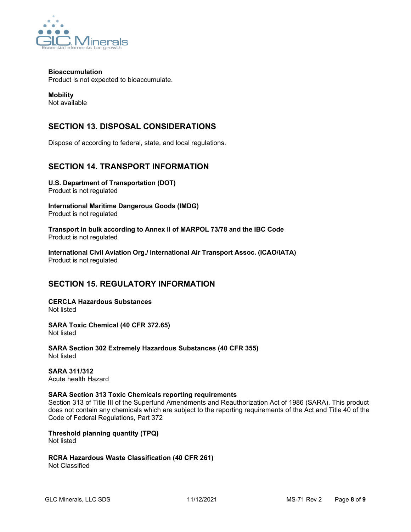

## **Bioaccumulation**

Product is not expected to bioaccumulate.

**Mobility** Not available

# **SECTION 13. DISPOSAL CONSIDERATIONS**

Dispose of according to federal, state, and local regulations.

## **SECTION 14. TRANSPORT INFORMATION**

**U.S. Department of Transportation (DOT)**  Product is not regulated

**International Maritime Dangerous Goods (IMDG)** Product is not regulated

**Transport in bulk according to Annex II of MARPOL 73/78 and the IBC Code** Product is not regulated

**International Civil Aviation Org./ International Air Transport Assoc. (ICAO/IATA)** Product is not regulated

# **SECTION 15. REGULATORY INFORMATION**

**CERCLA Hazardous Substances** Not listed

**SARA Toxic Chemical (40 CFR 372.65)** Not listed

**SARA Section 302 Extremely Hazardous Substances (40 CFR 355)** Not listed

**SARA 311/312** Acute health Hazard

## **SARA Section 313 Toxic Chemicals reporting requirements**

Section 313 of Title III of the Superfund Amendments and Reauthorization Act of 1986 (SARA). This product does not contain any chemicals which are subject to the reporting requirements of the Act and Title 40 of the Code of Federal Regulations, Part 372

**Threshold planning quantity (TPQ)** Not listed

**RCRA Hazardous Waste Classification (40 CFR 261)** Not Classified